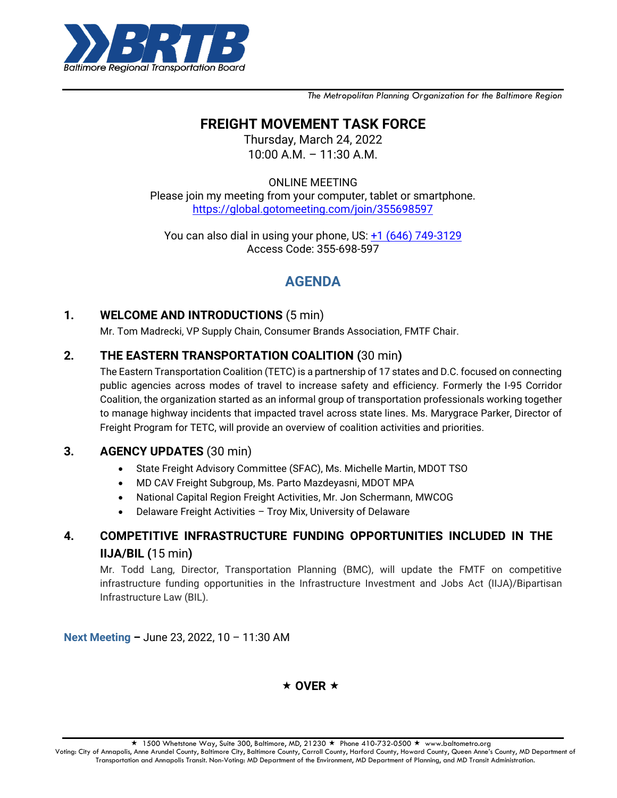

*The Metropolitan Planning Organization for the Baltimore Region*

## **FREIGHT MOVEMENT TASK FORCE**

Thursday, March 24, 2022 10:00 A.M. – 11:30 A.M.

ONLINE MEETING

Please join my meeting from your computer, tablet or smartphone. <https://global.gotomeeting.com/join/355698597>

You can also dial in using your phone, US: [+1 \(646\) 749-3129](tel:+16467493129,,355698597) Access Code: 355-698-597

# **AGENDA**

### **1. WELCOME AND INTRODUCTIONS** (5 min)

Mr. Tom Madrecki, VP Supply Chain, Consumer Brands Association, FMTF Chair.

### **2. THE EASTERN TRANSPORTATION COALITION (**30 min**)**

The Eastern Transportation Coalition (TETC) is a partnership of 17 states and D.C. focused on connecting public agencies across modes of travel to increase safety and efficiency. Formerly the I-95 Corridor Coalition, the organization started as an informal group of transportation professionals working together to manage highway incidents that impacted travel across state lines. Ms. Marygrace Parker, Director of Freight Program for TETC, will provide an overview of coalition activities and priorities.

### **3. AGENCY UPDATES** (30 min)

- State Freight Advisory Committee (SFAC), Ms. Michelle Martin, MDOT TSO
- MD CAV Freight Subgroup, Ms. Parto Mazdeyasni, MDOT MPA
- National Capital Region Freight Activities, Mr. Jon Schermann, MWCOG
- Delaware Freight Activities Troy Mix, University of Delaware

### **4. COMPETITIVE INFRASTRUCTURE FUNDING OPPORTUNITIES INCLUDED IN THE IIJA/BIL (**15 min**)**

Mr. Todd Lang, Director, Transportation Planning (BMC), will update the FMTF on competitive infrastructure funding opportunities in the Infrastructure Investment and Jobs Act (IIJA)/Bipartisan Infrastructure Law (BIL).

**Next Meeting –** June 23, 2022, 10 – 11:30 AM

 $\star$  OVER  $\star$